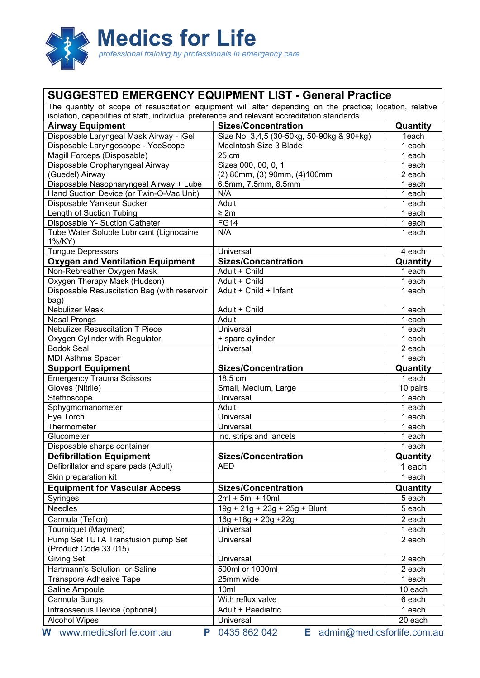

## **SUGGESTED EMERGENCY EQUIPMENT LIST - General Practice**

| The quantity of scope of resuscitation equipment will alter depending on the practice; location, relative |                                                                                               |                   |  |
|-----------------------------------------------------------------------------------------------------------|-----------------------------------------------------------------------------------------------|-------------------|--|
|                                                                                                           | isolation, capabilities of staff, individual preference and relevant accreditation standards. |                   |  |
| <b>Airway Equipment</b>                                                                                   | <b>Sizes/Concentration</b><br>Size No: 3,4,5 (30-50kg, 50-90kg & 90+kg)                       | Quantity<br>1each |  |
| Disposable Laryngeal Mask Airway - iGel<br>Disposable Laryngoscope - YeeScope                             | MacIntosh Size 3 Blade                                                                        | 1 each            |  |
| Magill Forceps (Disposable)                                                                               | 25 cm                                                                                         | 1 each            |  |
| Disposable Oropharyngeal Airway                                                                           | Sizes 000, 00, 0, 1                                                                           | 1 each            |  |
| (Guedel) Airway                                                                                           | (2) 80mm, (3) 90mm, (4) 100mm                                                                 | 2 each            |  |
| Disposable Nasopharyngeal Airway + Lube                                                                   | 6.5mm, 7.5mm, 8.5mm                                                                           | 1 each            |  |
| Hand Suction Device (or Twin-O-Vac Unit)                                                                  | N/A                                                                                           | 1 each            |  |
| Disposable Yankeur Sucker                                                                                 | <b>Adult</b>                                                                                  | 1 each            |  |
| Length of Suction Tubing                                                                                  | $\geq 2m$                                                                                     | 1 each            |  |
| Disposable Y- Suction Catheter                                                                            | FG14                                                                                          | 1 each            |  |
| Tube Water Soluble Lubricant (Lignocaine                                                                  | N/A                                                                                           | 1 each            |  |
| 1%/KY)                                                                                                    |                                                                                               |                   |  |
| <b>Tongue Depressors</b>                                                                                  | Universal                                                                                     | 4 each            |  |
| <b>Oxygen and Ventilation Equipment</b>                                                                   | <b>Sizes/Concentration</b>                                                                    | Quantity          |  |
| Non-Rebreather Oxygen Mask                                                                                | Adult + Child                                                                                 | 1 each            |  |
| Oxygen Therapy Mask (Hudson)                                                                              | Adult + Child                                                                                 | 1 each            |  |
| Disposable Resuscitation Bag (with reservoir                                                              | Adult + Child + Infant                                                                        | 1 each            |  |
| bag)                                                                                                      |                                                                                               |                   |  |
| <b>Nebulizer Mask</b>                                                                                     | Adult + Child                                                                                 | 1 each            |  |
| <b>Nasal Prongs</b>                                                                                       | Adult                                                                                         | 1 each            |  |
| <b>Nebulizer Resuscitation T Piece</b>                                                                    | Universal                                                                                     | 1 each            |  |
| Oxygen Cylinder with Regulator                                                                            | + spare cylinder                                                                              | 1 each            |  |
| <b>Bodok Seal</b>                                                                                         | Universal                                                                                     | 2 each            |  |
| <b>MDI Asthma Spacer</b>                                                                                  |                                                                                               | 1 each            |  |
| <b>Support Equipment</b>                                                                                  | <b>Sizes/Concentration</b>                                                                    | Quantity          |  |
| <b>Emergency Trauma Scissors</b>                                                                          | 18.5 cm                                                                                       | 1 each            |  |
| Gloves (Nitrile)                                                                                          | Small, Medium, Large                                                                          | 10 pairs          |  |
| Stethoscope                                                                                               | Universal                                                                                     | 1 each            |  |
| Sphygmomanometer                                                                                          | Adult                                                                                         | 1 each            |  |
| Eye Torch                                                                                                 | Universal                                                                                     | 1 each            |  |
| Thermometer                                                                                               | Universal                                                                                     | 1 each            |  |
| Glucometer                                                                                                | Inc. strips and lancets                                                                       | 1 each            |  |
| Disposable sharps container                                                                               |                                                                                               | 1 each            |  |
| <b>Defibrillation Equipment</b>                                                                           | <b>Sizes/Concentration</b>                                                                    | Quantity          |  |
| Defibrillator and spare pads (Adult)                                                                      | <b>AED</b>                                                                                    | 1 each            |  |
| Skin preparation kit                                                                                      |                                                                                               | 1 each            |  |
| <b>Equipment for Vascular Access</b>                                                                      | <b>Sizes/Concentration</b>                                                                    | Quantity          |  |
| Syringes                                                                                                  | $2ml + 5ml + 10ml$                                                                            | 5 each            |  |
| Needles                                                                                                   | $19g + 21g + 23g + 25g + Blunt$                                                               | 5 each            |  |
| Cannula (Teflon)                                                                                          | $16g + 18g + 20g + 22g$                                                                       | 2 each            |  |
| Tourniquet (Maymed)                                                                                       | Universal                                                                                     | 1 each            |  |
| Pump Set TUTA Transfusion pump Set                                                                        | <b>Universal</b>                                                                              | 2 each            |  |
| (Product Code 33.015)                                                                                     |                                                                                               |                   |  |
| <b>Giving Set</b>                                                                                         | Universal                                                                                     | 2 each            |  |
| Hartmann's Solution or Saline                                                                             | 500ml or 1000ml                                                                               | 2 each            |  |
| <b>Transpore Adhesive Tape</b>                                                                            | 25mm wide                                                                                     | 1 each            |  |
| Saline Ampoule                                                                                            | 10ml                                                                                          | 10 each           |  |
| Cannula Bungs                                                                                             | With reflux valve                                                                             | 6 each            |  |
| Intraosseous Device (optional)                                                                            | Adult + Paediatric                                                                            | 1 each            |  |
| <b>Alcohol Wipes</b>                                                                                      | Universal                                                                                     | 20 each           |  |
| W www.medicsforlife.com.au<br>P                                                                           | 0435 862 042<br>E admin@medicsforlife.com.au                                                  |                   |  |